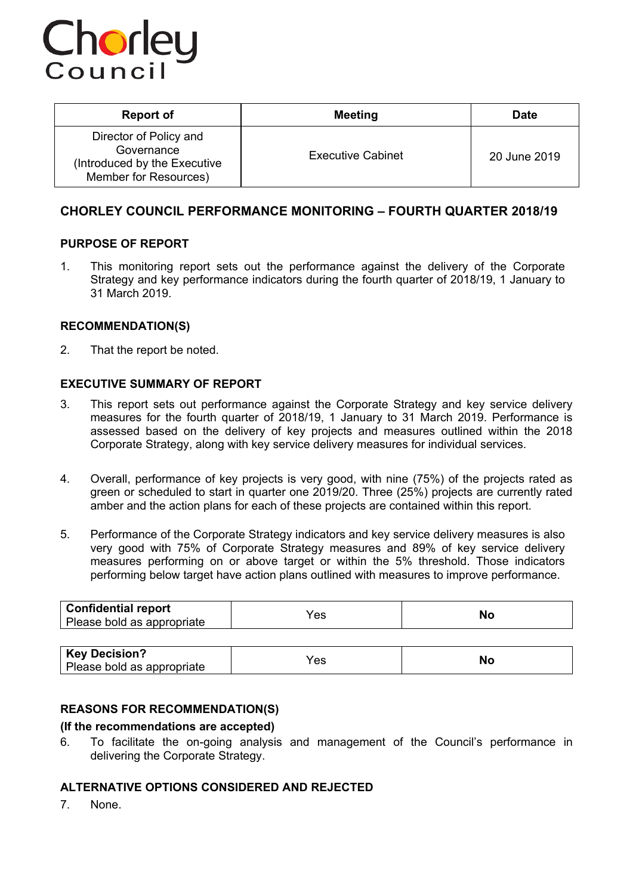

| <b>Report of</b>                                                                              | <b>Meeting</b>           | <b>Date</b>  |
|-----------------------------------------------------------------------------------------------|--------------------------|--------------|
| Director of Policy and<br>Governance<br>(Introduced by the Executive<br>Member for Resources) | <b>Executive Cabinet</b> | 20 June 2019 |

## **CHORLEY COUNCIL PERFORMANCE MONITORING – FOURTH QUARTER 2018/19**

## **PURPOSE OF REPORT**

1. This monitoring report sets out the performance against the delivery of the Corporate Strategy and key performance indicators during the fourth quarter of 2018/19, 1 January to 31 March 2019.

## **RECOMMENDATION(S)**

2. That the report be noted.

#### **EXECUTIVE SUMMARY OF REPORT**

- 3. This report sets out performance against the Corporate Strategy and key service delivery measures for the fourth quarter of 2018/19, 1 January to 31 March 2019. Performance is assessed based on the delivery of key projects and measures outlined within the 2018 Corporate Strategy, along with key service delivery measures for individual services.
- 4. Overall, performance of key projects is very good, with nine (75%) of the projects rated as green or scheduled to start in quarter one 2019/20. Three (25%) projects are currently rated amber and the action plans for each of these projects are contained within this report.
- 5. Performance of the Corporate Strategy indicators and key service delivery measures is also very good with 75% of Corporate Strategy measures and 89% of key service delivery measures performing on or above target or within the 5% threshold. Those indicators performing below target have action plans outlined with measures to improve performance.

| Confidential report<br>Please bold as appropriate | ്പ<br>ື | יי |
|---------------------------------------------------|---------|----|
|                                                   |         |    |

| <b>Key Decision?</b><br>Please bold as appropriate | es | NC |
|----------------------------------------------------|----|----|
|----------------------------------------------------|----|----|

## **REASONS FOR RECOMMENDATION(S)**

#### **(If the recommendations are accepted)**

6. To facilitate the on-going analysis and management of the Council's performance in delivering the Corporate Strategy.

## **ALTERNATIVE OPTIONS CONSIDERED AND REJECTED**

7. None.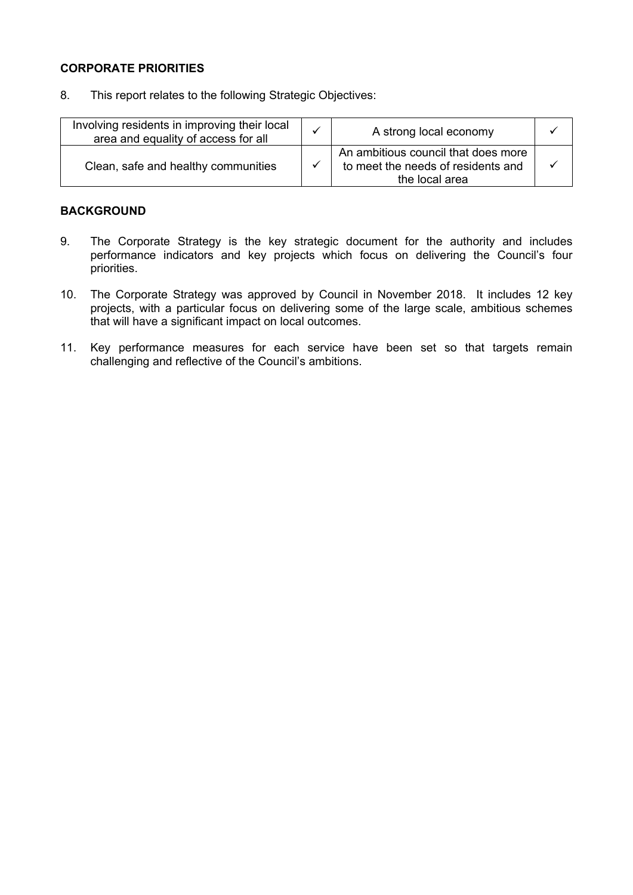## **CORPORATE PRIORITIES**

8. This report relates to the following Strategic Objectives:

| Involving residents in improving their local<br>area and equality of access for all | A strong local economy                                                                      |  |
|-------------------------------------------------------------------------------------|---------------------------------------------------------------------------------------------|--|
| Clean, safe and healthy communities                                                 | An ambitious council that does more<br>to meet the needs of residents and<br>the local area |  |

## **BACKGROUND**

- 9. The Corporate Strategy is the key strategic document for the authority and includes performance indicators and key projects which focus on delivering the Council's four priorities.
- 10. The Corporate Strategy was approved by Council in November 2018. It includes 12 key projects, with a particular focus on delivering some of the large scale, ambitious schemes that will have a significant impact on local outcomes.
- 11. Key performance measures for each service have been set so that targets remain challenging and reflective of the Council's ambitions.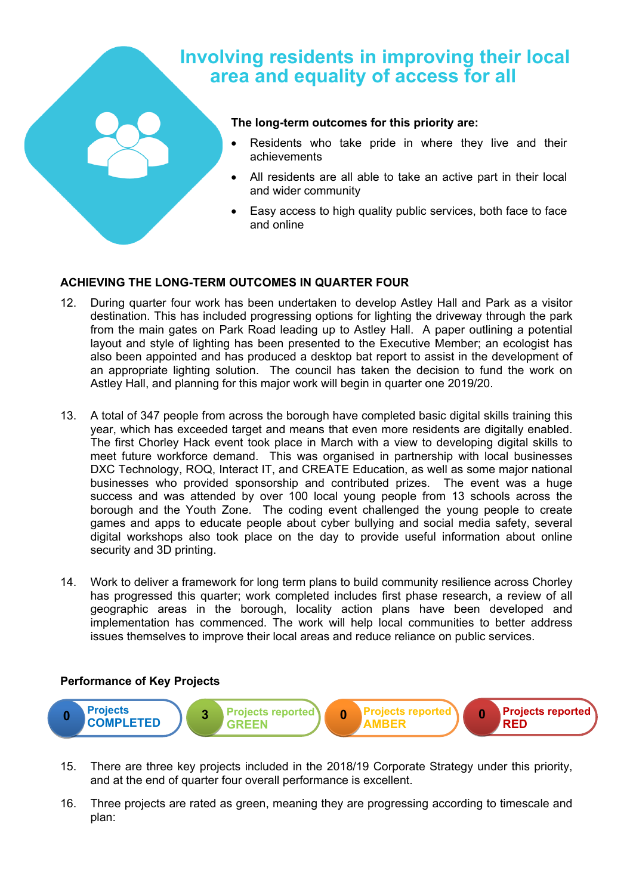# **Involving residents in improving their local area and equality of access for all**

#### **The long-term outcomes for this priority are:**

- Residents who take pride in where they live and their achievements
- All residents are all able to take an active part in their local and wider community
- Easy access to high quality public services, both face to face and online

## **ACHIEVING THE LONG-TERM OUTCOMES IN QUARTER FOUR**

- 12. During quarter four work has been undertaken to develop Astley Hall and Park as a visitor destination. This has included progressing options for lighting the driveway through the park from the main gates on Park Road leading up to Astley Hall. A paper outlining a potential layout and style of lighting has been presented to the Executive Member; an ecologist has also been appointed and has produced a desktop bat report to assist in the development of an appropriate lighting solution. The council has taken the decision to fund the work on Astley Hall, and planning for this major work will begin in quarter one 2019/20.
- 13. A total of 347 people from across the borough have completed basic digital skills training this year, which has exceeded target and means that even more residents are digitally enabled. The first Chorley Hack event took place in March with a view to developing digital skills to meet future workforce demand. This was organised in partnership with local businesses DXC Technology, ROQ, Interact IT, and CREATE Education, as well as some major national businesses who provided sponsorship and contributed prizes. The event was a huge success and was attended by over 100 local young people from 13 schools across the borough and the Youth Zone. The coding event challenged the young people to create games and apps to educate people about cyber bullying and social media safety, several digital workshops also took place on the day to provide useful information about online security and 3D printing.
- 14. Work to deliver a framework for long term plans to build community resilience across Chorley has progressed this quarter; work completed includes first phase research, a review of all geographic areas in the borough, locality action plans have been developed and implementation has commenced. The work will help local communities to better address issues themselves to improve their local areas and reduce reliance on public services.



- 15. There are three key projects included in the 2018/19 Corporate Strategy under this priority, and at the end of quarter four overall performance is excellent.
- 16. Three projects are rated as green, meaning they are progressing according to timescale and plan: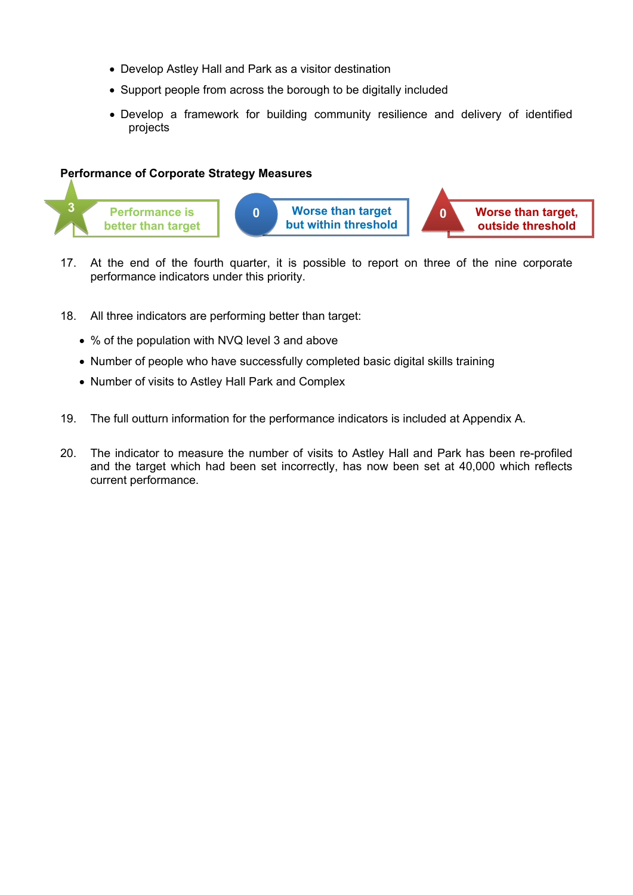- Develop Astley Hall and Park as a visitor destination
- Support people from across the borough to be digitally included
- Develop a framework for building community resilience and delivery of identified projects

## **Performance of Corporate Strategy Measures**



- 17. At the end of the fourth quarter, it is possible to report on three of the nine corporate performance indicators under this priority.
- 18. All three indicators are performing better than target:
	- % of the population with NVQ level 3 and above
	- Number of people who have successfully completed basic digital skills training
	- Number of visits to Astley Hall Park and Complex
- 19. The full outturn information for the performance indicators is included at Appendix A.
- 20. The indicator to measure the number of visits to Astley Hall and Park has been re-profiled and the target which had been set incorrectly, has now been set at 40,000 which reflects current performance.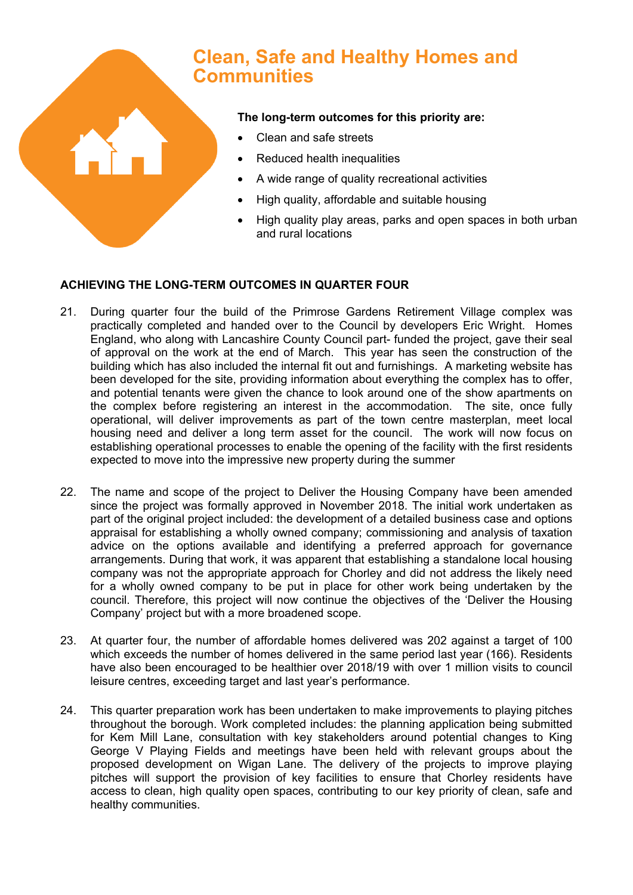

# **Clean, Safe and Healthy Homes and Communities**

## **The long-term outcomes for this priority are:**

- Clean and safe streets
- Reduced health inequalities
- A wide range of quality recreational activities
- High quality, affordable and suitable housing
- High quality play areas, parks and open spaces in both urban and rural locations

## **ACHIEVING THE LONG-TERM OUTCOMES IN QUARTER FOUR**

- 21. During quarter four the build of the Primrose Gardens Retirement Village complex was practically completed and handed over to the Council by developers Eric Wright. Homes England, who along with Lancashire County Council part- funded the project, gave their seal of approval on the work at the end of March. This year has seen the construction of the building which has also included the internal fit out and furnishings. A marketing website has been developed for the site, providing information about everything the complex has to offer, and potential tenants were given the chance to look around one of the show apartments on the complex before registering an interest in the accommodation. The site, once fully operational, will deliver improvements as part of the town centre masterplan, meet local housing need and deliver a long term asset for the council. The work will now focus on establishing operational processes to enable the opening of the facility with the first residents expected to move into the impressive new property during the summer
- 22. The name and scope of the project to Deliver the Housing Company have been amended since the project was formally approved in November 2018. The initial work undertaken as part of the original project included: the development of a detailed business case and options appraisal for establishing a wholly owned company; commissioning and analysis of taxation advice on the options available and identifying a preferred approach for governance arrangements. During that work, it was apparent that establishing a standalone local housing company was not the appropriate approach for Chorley and did not address the likely need for a wholly owned company to be put in place for other work being undertaken by the council. Therefore, this project will now continue the objectives of the 'Deliver the Housing Company' project but with a more broadened scope.
- 23. At quarter four, the number of affordable homes delivered was 202 against a target of 100 which exceeds the number of homes delivered in the same period last year (166). Residents have also been encouraged to be healthier over 2018/19 with over 1 million visits to council leisure centres, exceeding target and last year's performance.
- 24. This quarter preparation work has been undertaken to make improvements to playing pitches throughout the borough. Work completed includes: the planning application being submitted for Kem Mill Lane, consultation with key stakeholders around potential changes to King George V Playing Fields and meetings have been held with relevant groups about the proposed development on Wigan Lane. The delivery of the projects to improve playing pitches will support the provision of key facilities to ensure that Chorley residents have access to clean, high quality open spaces, contributing to our key priority of clean, safe and healthy communities.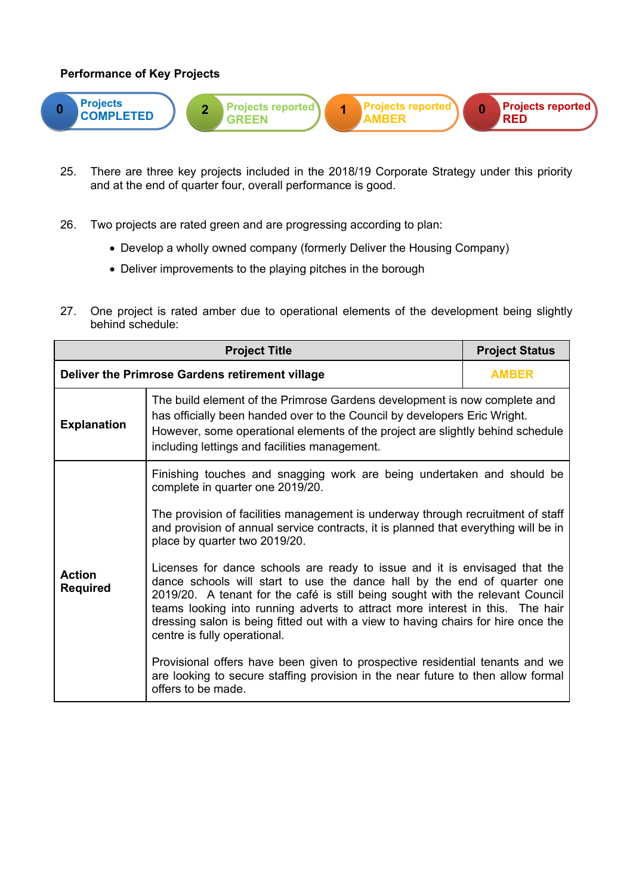

- 25. There are three key projects included in the 2018/19 Corporate Strategy under this priority and at the end of quarter four, overall performance is good.
- 26. Two projects are rated green and are progressing according to plan:
	- Develop a wholly owned company (formerly Deliver the Housing Company)
	- Deliver improvements to the playing pitches in the borough
- 27. One project is rated amber due to operational elements of the development being slightly behind schedule:

|                                                                                                            | <b>Project Status</b>                                                                                                                                                                                                                                                                                                                                                                                                                          |              |  |
|------------------------------------------------------------------------------------------------------------|------------------------------------------------------------------------------------------------------------------------------------------------------------------------------------------------------------------------------------------------------------------------------------------------------------------------------------------------------------------------------------------------------------------------------------------------|--------------|--|
|                                                                                                            | Deliver the Primrose Gardens retirement village                                                                                                                                                                                                                                                                                                                                                                                                | <b>AMBER</b> |  |
| <b>Explanation</b>                                                                                         | The build element of the Primrose Gardens development is now complete and<br>has officially been handed over to the Council by developers Eric Wright.<br>However, some operational elements of the project are slightly behind schedule<br>including lettings and facilities management.                                                                                                                                                      |              |  |
| Finishing touches and snagging work are being undertaken and should be<br>complete in quarter one 2019/20. |                                                                                                                                                                                                                                                                                                                                                                                                                                                |              |  |
|                                                                                                            | The provision of facilities management is underway through recruitment of staff<br>and provision of annual service contracts, it is planned that everything will be in<br>place by quarter two 2019/20.                                                                                                                                                                                                                                        |              |  |
| <b>Action</b><br><b>Required</b>                                                                           | Licenses for dance schools are ready to issue and it is envisaged that the<br>dance schools will start to use the dance hall by the end of quarter one<br>2019/20. A tenant for the café is still being sought with the relevant Council<br>teams looking into running adverts to attract more interest in this. The hair<br>dressing salon is being fitted out with a view to having chairs for hire once the<br>centre is fully operational. |              |  |
|                                                                                                            | Provisional offers have been given to prospective residential tenants and we<br>are looking to secure staffing provision in the near future to then allow formal<br>offers to be made.                                                                                                                                                                                                                                                         |              |  |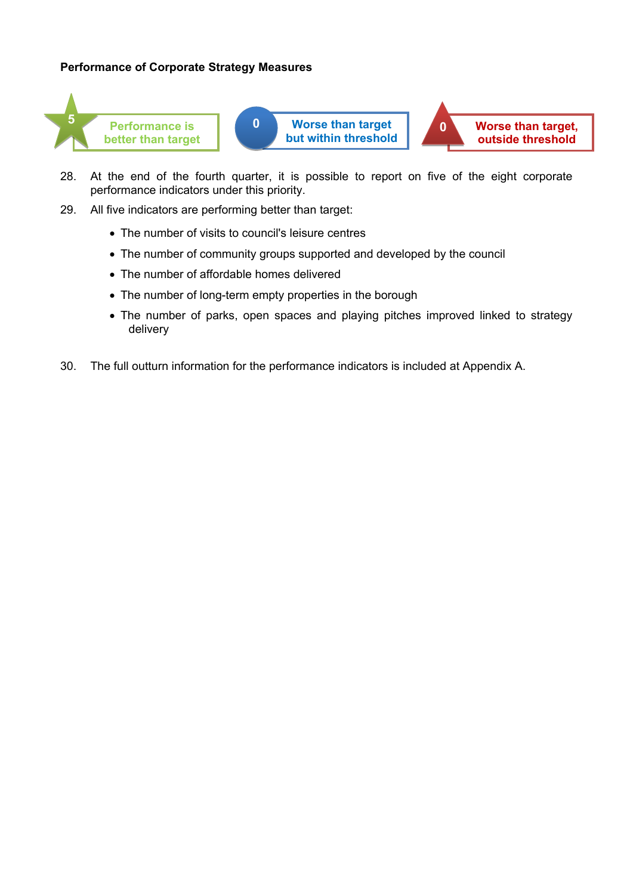## **Performance of Corporate Strategy Measures**



- 28. At the end of the fourth quarter, it is possible to report on five of the eight corporate performance indicators under this priority.
- 29. All five indicators are performing better than target:
	- The number of visits to council's leisure centres
	- The number of community groups supported and developed by the council
	- The number of affordable homes delivered
	- The number of long-term empty properties in the borough
	- The number of parks, open spaces and playing pitches improved linked to strategy delivery
- 30. The full outturn information for the performance indicators is included at Appendix A.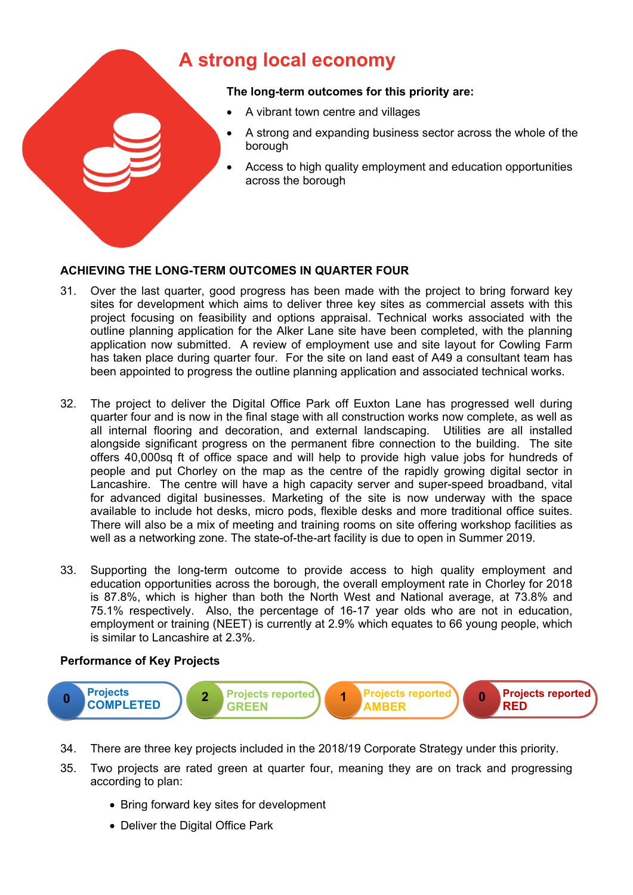# **A strong local economy**

## **The long-term outcomes for this priority are:**

- A vibrant town centre and villages
- A strong and expanding business sector across the whole of the borough
- Access to high quality employment and education opportunities across the borough

## **ACHIEVING THE LONG-TERM OUTCOMES IN QUARTER FOUR**

- 31. Over the last quarter, good progress has been made with the project to bring forward key sites for development which aims to deliver three key sites as commercial assets with this project focusing on feasibility and options appraisal. Technical works associated with the outline planning application for the Alker Lane site have been completed, with the planning application now submitted. A review of employment use and site layout for Cowling Farm has taken place during quarter four. For the site on land east of A49 a consultant team has been appointed to progress the outline planning application and associated technical works.
- 32. The project to deliver the Digital Office Park off Euxton Lane has progressed well during quarter four and is now in the final stage with all construction works now complete, as well as all internal flooring and decoration, and external landscaping. Utilities are all installed alongside significant progress on the permanent fibre connection to the building. The site offers 40,000sq ft of office space and will help to provide high value jobs for hundreds of people and put Chorley on the map as the centre of the rapidly growing digital sector in Lancashire. The centre will have a high capacity server and super-speed broadband, vital for advanced digital businesses. Marketing of the site is now underway with the space available to include hot desks, micro pods, flexible desks and more traditional office suites. There will also be a mix of meeting and training rooms on site offering workshop facilities as well as a networking zone. The state-of-the-art facility is due to open in Summer 2019.
- 33. Supporting the long-term outcome to provide access to high quality employment and education opportunities across the borough, the overall employment rate in Chorley for 2018 is 87.8%, which is higher than both the North West and National average, at 73.8% and 75.1% respectively. Also, the percentage of 16-17 year olds who are not in education, employment or training (NEET) is currently at 2.9% which equates to 66 young people, which is similar to Lancashire at 2.3%.



- 34. There are three key projects included in the 2018/19 Corporate Strategy under this priority.
- 35. Two projects are rated green at quarter four, meaning they are on track and progressing according to plan:
	- Bring forward key sites for development
	- Deliver the Digital Office Park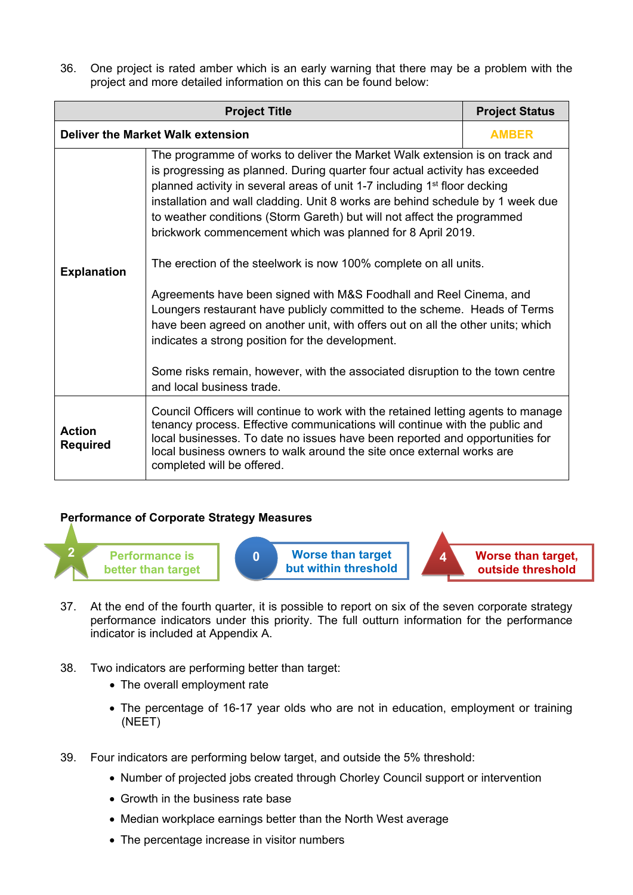36. One project is rated amber which is an early warning that there may be a problem with the project and more detailed information on this can be found below:

| <b>Project Title</b><br><b>Project Status</b> |                                                                                                                                                                                                                                                                                                                                                                                                                                                                                                                                                                                                                                                                                                                                                                                                                                                                                                                               |  |  |  |
|-----------------------------------------------|-------------------------------------------------------------------------------------------------------------------------------------------------------------------------------------------------------------------------------------------------------------------------------------------------------------------------------------------------------------------------------------------------------------------------------------------------------------------------------------------------------------------------------------------------------------------------------------------------------------------------------------------------------------------------------------------------------------------------------------------------------------------------------------------------------------------------------------------------------------------------------------------------------------------------------|--|--|--|
| <b>Deliver the Market Walk extension</b>      | <b>AMBER</b>                                                                                                                                                                                                                                                                                                                                                                                                                                                                                                                                                                                                                                                                                                                                                                                                                                                                                                                  |  |  |  |
| <b>Explanation</b>                            | The programme of works to deliver the Market Walk extension is on track and<br>is progressing as planned. During quarter four actual activity has exceeded<br>planned activity in several areas of unit 1-7 including 1 <sup>st</sup> floor decking<br>installation and wall cladding. Unit 8 works are behind schedule by 1 week due<br>to weather conditions (Storm Gareth) but will not affect the programmed<br>brickwork commencement which was planned for 8 April 2019.<br>The erection of the steelwork is now 100% complete on all units.<br>Agreements have been signed with M&S Foodhall and Reel Cinema, and<br>Loungers restaurant have publicly committed to the scheme. Heads of Terms<br>have been agreed on another unit, with offers out on all the other units; which<br>indicates a strong position for the development.<br>Some risks remain, however, with the associated disruption to the town centre |  |  |  |
| Action<br><b>Required</b>                     | Council Officers will continue to work with the retained letting agents to manage<br>tenancy process. Effective communications will continue with the public and<br>local businesses. To date no issues have been reported and opportunities for<br>local business owners to walk around the site once external works are<br>completed will be offered.                                                                                                                                                                                                                                                                                                                                                                                                                                                                                                                                                                       |  |  |  |

## **Performance of Corporate Strategy Measures**



**but within threshold**



**outside threshold**

- 37. At the end of the fourth quarter, it is possible to report on six of the seven corporate strategy performance indicators under this priority. The full outturn information for the performance indicator is included at Appendix A.
- 38. Two indicators are performing better than target:
	- The overall employment rate
	- The percentage of 16-17 year olds who are not in education, employment or training (NEET)
- 39. Four indicators are performing below target, and outside the 5% threshold:
	- Number of projected jobs created through Chorley Council support or intervention
	- Growth in the business rate base
	- Median workplace earnings better than the North West average
	- The percentage increase in visitor numbers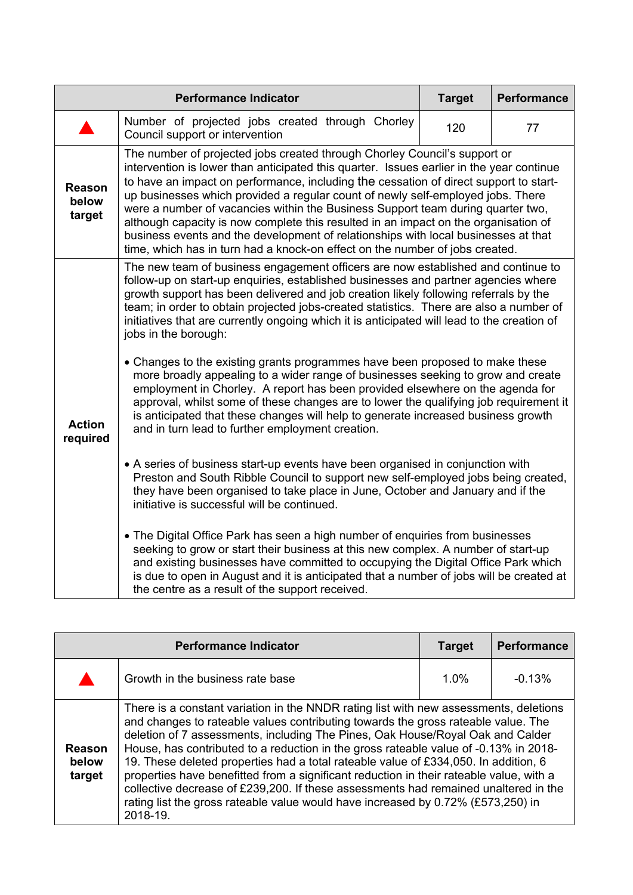|                                  | <b>Performance Indicator</b>                                                                                                                                                                                                                                                                                                                                                                                                                                                                                                                                                                                                                                                                                                                                                                                                                                                                                                                                                                                                                                                                                                                                                                                                                                                                                                                                                                                                                                                                                                                                                                                                         | <b>Target</b> | <b>Performance</b> |
|----------------------------------|--------------------------------------------------------------------------------------------------------------------------------------------------------------------------------------------------------------------------------------------------------------------------------------------------------------------------------------------------------------------------------------------------------------------------------------------------------------------------------------------------------------------------------------------------------------------------------------------------------------------------------------------------------------------------------------------------------------------------------------------------------------------------------------------------------------------------------------------------------------------------------------------------------------------------------------------------------------------------------------------------------------------------------------------------------------------------------------------------------------------------------------------------------------------------------------------------------------------------------------------------------------------------------------------------------------------------------------------------------------------------------------------------------------------------------------------------------------------------------------------------------------------------------------------------------------------------------------------------------------------------------------|---------------|--------------------|
|                                  | Number of projected jobs created through Chorley<br>Council support or intervention                                                                                                                                                                                                                                                                                                                                                                                                                                                                                                                                                                                                                                                                                                                                                                                                                                                                                                                                                                                                                                                                                                                                                                                                                                                                                                                                                                                                                                                                                                                                                  | 120           | 77                 |
| <b>Reason</b><br>below<br>target | The number of projected jobs created through Chorley Council's support or<br>intervention is lower than anticipated this quarter. Issues earlier in the year continue<br>to have an impact on performance, including the cessation of direct support to start-<br>up businesses which provided a regular count of newly self-employed jobs. There<br>were a number of vacancies within the Business Support team during quarter two,<br>although capacity is now complete this resulted in an impact on the organisation of<br>business events and the development of relationships with local businesses at that<br>time, which has in turn had a knock-on effect on the number of jobs created.                                                                                                                                                                                                                                                                                                                                                                                                                                                                                                                                                                                                                                                                                                                                                                                                                                                                                                                                    |               |                    |
| <b>Action</b><br>required        | The new team of business engagement officers are now established and continue to<br>follow-up on start-up enquiries, established businesses and partner agencies where<br>growth support has been delivered and job creation likely following referrals by the<br>team; in order to obtain projected jobs-created statistics. There are also a number of<br>initiatives that are currently ongoing which it is anticipated will lead to the creation of<br>jobs in the borough:<br>• Changes to the existing grants programmes have been proposed to make these<br>more broadly appealing to a wider range of businesses seeking to grow and create<br>employment in Chorley. A report has been provided elsewhere on the agenda for<br>approval, whilst some of these changes are to lower the qualifying job requirement it<br>is anticipated that these changes will help to generate increased business growth<br>and in turn lead to further employment creation.<br>• A series of business start-up events have been organised in conjunction with<br>Preston and South Ribble Council to support new self-employed jobs being created,<br>they have been organised to take place in June, October and January and if the<br>initiative is successful will be continued.<br>• The Digital Office Park has seen a high number of enquiries from businesses<br>seeking to grow or start their business at this new complex. A number of start-up<br>and existing businesses have committed to occupying the Digital Office Park which<br>is due to open in August and it is anticipated that a number of jobs will be created at |               |                    |

|                                  | <b>Performance Indicator</b>                                                                                                                                                                                                                                                                                                                                                                                                                                                                                                                                                                                                                                                                                                  | <b>Target</b> | <b>Performance</b> |
|----------------------------------|-------------------------------------------------------------------------------------------------------------------------------------------------------------------------------------------------------------------------------------------------------------------------------------------------------------------------------------------------------------------------------------------------------------------------------------------------------------------------------------------------------------------------------------------------------------------------------------------------------------------------------------------------------------------------------------------------------------------------------|---------------|--------------------|
|                                  | Growth in the business rate base                                                                                                                                                                                                                                                                                                                                                                                                                                                                                                                                                                                                                                                                                              | 1.0%          | $-0.13%$           |
| <b>Reason</b><br>below<br>target | There is a constant variation in the NNDR rating list with new assessments, deletions<br>and changes to rateable values contributing towards the gross rateable value. The<br>deletion of 7 assessments, including The Pines, Oak House/Royal Oak and Calder<br>House, has contributed to a reduction in the gross rateable value of -0.13% in 2018-<br>19. These deleted properties had a total rateable value of £334,050. In addition, 6<br>properties have benefitted from a significant reduction in their rateable value, with a<br>collective decrease of £239,200. If these assessments had remained unaltered in the<br>rating list the gross rateable value would have increased by 0.72% (£573,250) in<br>2018-19. |               |                    |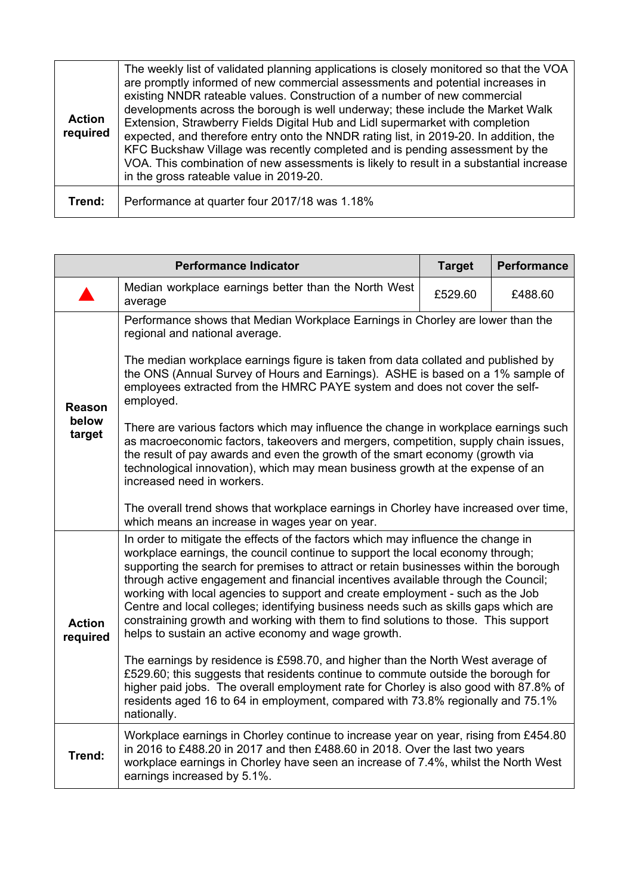| <b>Action</b><br>required | The weekly list of validated planning applications is closely monitored so that the VOA<br>are promptly informed of new commercial assessments and potential increases in<br>existing NNDR rateable values. Construction of a number of new commercial<br>developments across the borough is well underway; these include the Market Walk<br>Extension, Strawberry Fields Digital Hub and Lidl supermarket with completion<br>expected, and therefore entry onto the NNDR rating list, in 2019-20. In addition, the<br>KFC Buckshaw Village was recently completed and is pending assessment by the<br>VOA. This combination of new assessments is likely to result in a substantial increase<br>in the gross rateable value in 2019-20. |
|---------------------------|------------------------------------------------------------------------------------------------------------------------------------------------------------------------------------------------------------------------------------------------------------------------------------------------------------------------------------------------------------------------------------------------------------------------------------------------------------------------------------------------------------------------------------------------------------------------------------------------------------------------------------------------------------------------------------------------------------------------------------------|
| Trend:                    | Performance at quarter four 2017/18 was 1.18%                                                                                                                                                                                                                                                                                                                                                                                                                                                                                                                                                                                                                                                                                            |

|                                                                                                                                                                                                                                                                                                                                                                                                                                                                                                                                                                                                                                                                                                      | <b>Performance Indicator</b>                                                                                                                                                                                                                                                                                                                                               | <b>Target</b> | <b>Performance</b> |
|------------------------------------------------------------------------------------------------------------------------------------------------------------------------------------------------------------------------------------------------------------------------------------------------------------------------------------------------------------------------------------------------------------------------------------------------------------------------------------------------------------------------------------------------------------------------------------------------------------------------------------------------------------------------------------------------------|----------------------------------------------------------------------------------------------------------------------------------------------------------------------------------------------------------------------------------------------------------------------------------------------------------------------------------------------------------------------------|---------------|--------------------|
|                                                                                                                                                                                                                                                                                                                                                                                                                                                                                                                                                                                                                                                                                                      | Median workplace earnings better than the North West<br>average                                                                                                                                                                                                                                                                                                            | £529.60       | £488.60            |
|                                                                                                                                                                                                                                                                                                                                                                                                                                                                                                                                                                                                                                                                                                      | Performance shows that Median Workplace Earnings in Chorley are lower than the<br>regional and national average.                                                                                                                                                                                                                                                           |               |                    |
| <b>Reason</b>                                                                                                                                                                                                                                                                                                                                                                                                                                                                                                                                                                                                                                                                                        | The median workplace earnings figure is taken from data collated and published by<br>the ONS (Annual Survey of Hours and Earnings). ASHE is based on a 1% sample of<br>employees extracted from the HMRC PAYE system and does not cover the self-<br>employed.                                                                                                             |               |                    |
| below<br>target                                                                                                                                                                                                                                                                                                                                                                                                                                                                                                                                                                                                                                                                                      | There are various factors which may influence the change in workplace earnings such<br>as macroeconomic factors, takeovers and mergers, competition, supply chain issues,<br>the result of pay awards and even the growth of the smart economy (growth via<br>technological innovation), which may mean business growth at the expense of an<br>increased need in workers. |               |                    |
|                                                                                                                                                                                                                                                                                                                                                                                                                                                                                                                                                                                                                                                                                                      | The overall trend shows that workplace earnings in Chorley have increased over time,<br>which means an increase in wages year on year.                                                                                                                                                                                                                                     |               |                    |
| In order to mitigate the effects of the factors which may influence the change in<br>workplace earnings, the council continue to support the local economy through;<br>supporting the search for premises to attract or retain businesses within the borough<br>through active engagement and financial incentives available through the Council;<br>working with local agencies to support and create employment - such as the Job<br>Centre and local colleges; identifying business needs such as skills gaps which are<br>constraining growth and working with them to find solutions to those. This support<br><b>Action</b><br>helps to sustain an active economy and wage growth.<br>required |                                                                                                                                                                                                                                                                                                                                                                            |               |                    |
|                                                                                                                                                                                                                                                                                                                                                                                                                                                                                                                                                                                                                                                                                                      | The earnings by residence is £598.70, and higher than the North West average of<br>£529.60; this suggests that residents continue to commute outside the borough for<br>higher paid jobs. The overall employment rate for Chorley is also good with 87.8% of<br>residents aged 16 to 64 in employment, compared with 73.8% regionally and 75.1%<br>nationally.             |               |                    |
| Trend:                                                                                                                                                                                                                                                                                                                                                                                                                                                                                                                                                                                                                                                                                               | Workplace earnings in Chorley continue to increase year on year, rising from £454.80<br>in 2016 to £488.20 in 2017 and then £488.60 in 2018. Over the last two years<br>workplace earnings in Chorley have seen an increase of 7.4%, whilst the North West<br>earnings increased by 5.1%.                                                                                  |               |                    |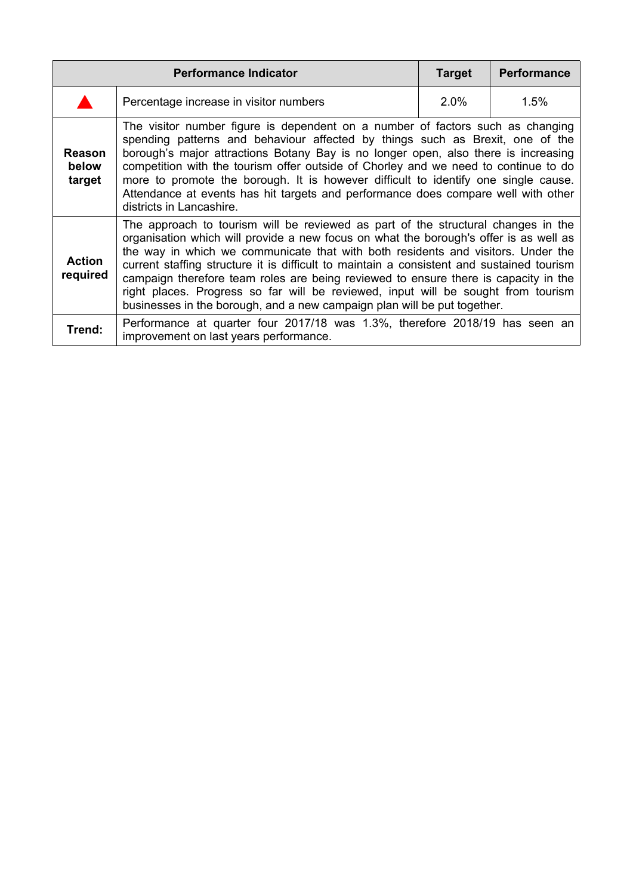|                                  | <b>Performance Indicator</b>                                                                                                                                                                                                                                                                                                                                                                                                                                                                                                                                                                                        | <b>Target</b> | <b>Performance</b> |
|----------------------------------|---------------------------------------------------------------------------------------------------------------------------------------------------------------------------------------------------------------------------------------------------------------------------------------------------------------------------------------------------------------------------------------------------------------------------------------------------------------------------------------------------------------------------------------------------------------------------------------------------------------------|---------------|--------------------|
|                                  | Percentage increase in visitor numbers                                                                                                                                                                                                                                                                                                                                                                                                                                                                                                                                                                              | $2.0\%$       | 1.5%               |
| <b>Reason</b><br>below<br>target | The visitor number figure is dependent on a number of factors such as changing<br>spending patterns and behaviour affected by things such as Brexit, one of the<br>borough's major attractions Botany Bay is no longer open, also there is increasing<br>competition with the tourism offer outside of Chorley and we need to continue to do<br>more to promote the borough. It is however difficult to identify one single cause.<br>Attendance at events has hit targets and performance does compare well with other<br>districts in Lancashire.                                                                 |               |                    |
| <b>Action</b><br>required        | The approach to tourism will be reviewed as part of the structural changes in the<br>organisation which will provide a new focus on what the borough's offer is as well as<br>the way in which we communicate that with both residents and visitors. Under the<br>current staffing structure it is difficult to maintain a consistent and sustained tourism<br>campaign therefore team roles are being reviewed to ensure there is capacity in the<br>right places. Progress so far will be reviewed, input will be sought from tourism<br>businesses in the borough, and a new campaign plan will be put together. |               |                    |
| Trend:                           | Performance at quarter four 2017/18 was 1.3%, therefore 2018/19 has seen an<br>improvement on last years performance.                                                                                                                                                                                                                                                                                                                                                                                                                                                                                               |               |                    |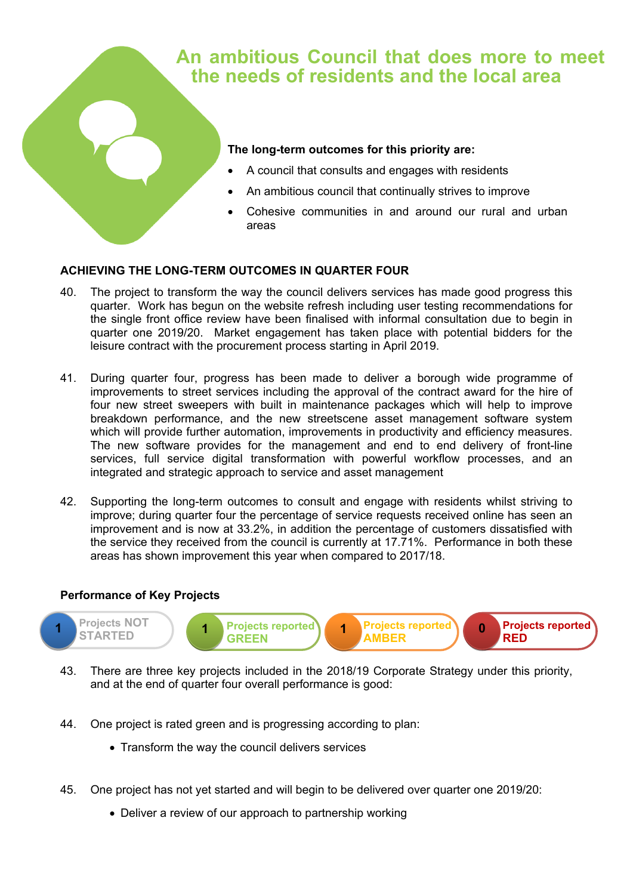## **An ambitious Council that does more to meet the needs of residents and the local area**

#### **The long-term outcomes for this priority are:**

- A council that consults and engages with residents
- An ambitious council that continually strives to improve
- Cohesive communities in and around our rural and urban areas

## **ACHIEVING THE LONG-TERM OUTCOMES IN QUARTER FOUR**

- 40. The project to transform the way the council delivers services has made good progress this quarter. Work has begun on the website refresh including user testing recommendations for the single front office review have been finalised with informal consultation due to begin in quarter one 2019/20. Market engagement has taken place with potential bidders for the leisure contract with the procurement process starting in April 2019.
- 41. During quarter four, progress has been made to deliver a borough wide programme of improvements to street services including the approval of the contract award for the hire of four new street sweepers with built in maintenance packages which will help to improve breakdown performance, and the new streetscene asset management software system which will provide further automation, improvements in productivity and efficiency measures. The new software provides for the management and end to end delivery of front-line services, full service digital transformation with powerful workflow processes, and an integrated and strategic approach to service and asset management
- 42. Supporting the long-term outcomes to consult and engage with residents whilst striving to improve; during quarter four the percentage of service requests received online has seen an improvement and is now at 33.2%, in addition the percentage of customers dissatisfied with the service they received from the council is currently at 17.71%. Performance in both these areas has shown improvement this year when compared to 2017/18.



- 43. There are three key projects included in the 2018/19 Corporate Strategy under this priority, and at the end of quarter four overall performance is good:
- 44. One project is rated green and is progressing according to plan:
	- Transform the way the council delivers services
- 45. One project has not yet started and will begin to be delivered over quarter one 2019/20:
	- Deliver a review of our approach to partnership working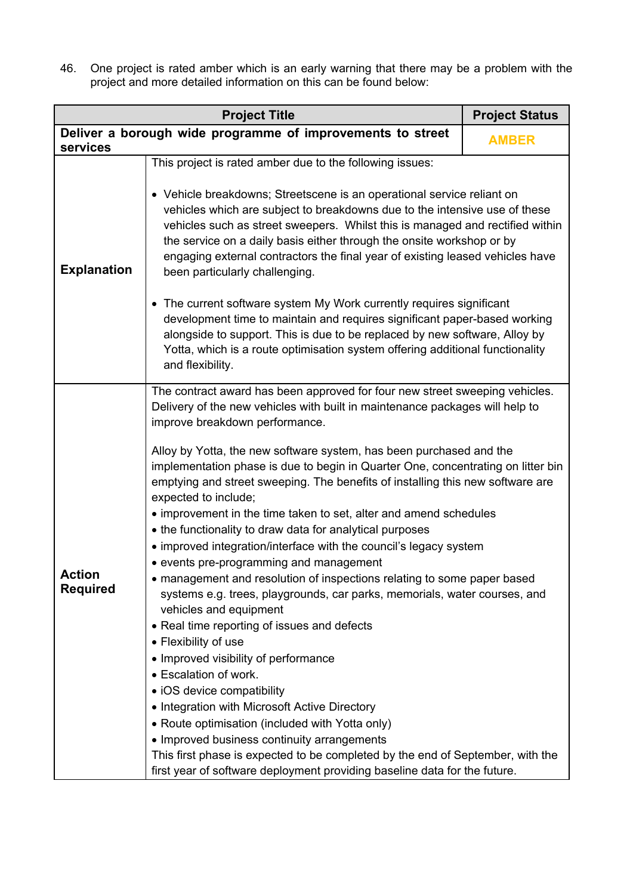46. One project is rated amber which is an early warning that there may be a problem with the project and more detailed information on this can be found below:

|                           | <b>Project Title</b>                                                                                                                                                                                                                                                                                                                                                                                                                                                                                                                                                                                                                                                                                                                                                                                                                                                                                                                                                                                                                                                                                                                                                                                                                                                                                                                                                                          | <b>Project Status</b> |  |
|---------------------------|-----------------------------------------------------------------------------------------------------------------------------------------------------------------------------------------------------------------------------------------------------------------------------------------------------------------------------------------------------------------------------------------------------------------------------------------------------------------------------------------------------------------------------------------------------------------------------------------------------------------------------------------------------------------------------------------------------------------------------------------------------------------------------------------------------------------------------------------------------------------------------------------------------------------------------------------------------------------------------------------------------------------------------------------------------------------------------------------------------------------------------------------------------------------------------------------------------------------------------------------------------------------------------------------------------------------------------------------------------------------------------------------------|-----------------------|--|
| services                  | Deliver a borough wide programme of improvements to street                                                                                                                                                                                                                                                                                                                                                                                                                                                                                                                                                                                                                                                                                                                                                                                                                                                                                                                                                                                                                                                                                                                                                                                                                                                                                                                                    | <b>AMBER</b>          |  |
| <b>Explanation</b>        | This project is rated amber due to the following issues:<br>• Vehicle breakdowns; Streetscene is an operational service reliant on<br>vehicles which are subject to breakdowns due to the intensive use of these<br>vehicles such as street sweepers. Whilst this is managed and rectified within<br>the service on a daily basis either through the onsite workshop or by<br>engaging external contractors the final year of existing leased vehicles have<br>been particularly challenging.<br>• The current software system My Work currently requires significant<br>development time to maintain and requires significant paper-based working<br>alongside to support. This is due to be replaced by new software, Alloy by<br>Yotta, which is a route optimisation system offering additional functionality<br>and flexibility.                                                                                                                                                                                                                                                                                                                                                                                                                                                                                                                                                         |                       |  |
| Action<br><b>Required</b> | The contract award has been approved for four new street sweeping vehicles.<br>Delivery of the new vehicles with built in maintenance packages will help to<br>improve breakdown performance.<br>Alloy by Yotta, the new software system, has been purchased and the<br>implementation phase is due to begin in Quarter One, concentrating on litter bin<br>emptying and street sweeping. The benefits of installing this new software are<br>expected to include;<br>• improvement in the time taken to set, alter and amend schedules<br>• the functionality to draw data for analytical purposes<br>• improved integration/interface with the council's legacy system<br>• events pre-programming and management<br>• management and resolution of inspections relating to some paper based<br>systems e.g. trees, playgrounds, car parks, memorials, water courses, and<br>vehicles and equipment<br>• Real time reporting of issues and defects<br>• Flexibility of use<br>• Improved visibility of performance<br>• Escalation of work.<br>• iOS device compatibility<br>• Integration with Microsoft Active Directory<br>• Route optimisation (included with Yotta only)<br>• Improved business continuity arrangements<br>This first phase is expected to be completed by the end of September, with the<br>first year of software deployment providing baseline data for the future. |                       |  |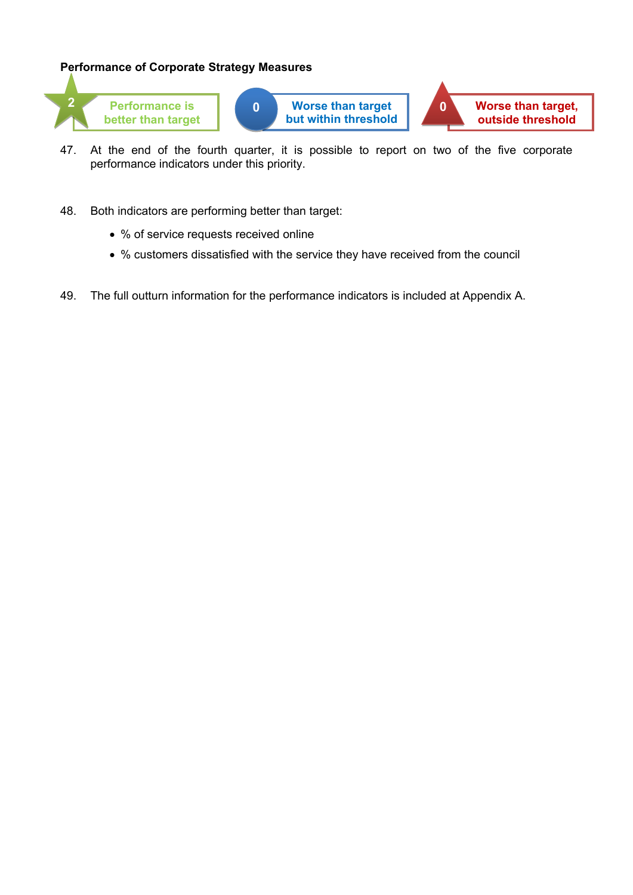## **Performance of Corporate Strategy Measures**



**better than target**



**outside threshold**

- 47. At the end of the fourth quarter, it is possible to report on two of the five corporate performance indicators under this priority.
- 48. Both indicators are performing better than target:
	- % of service requests received online
	- % customers dissatisfied with the service they have received from the council
- 49. The full outturn information for the performance indicators is included at Appendix A.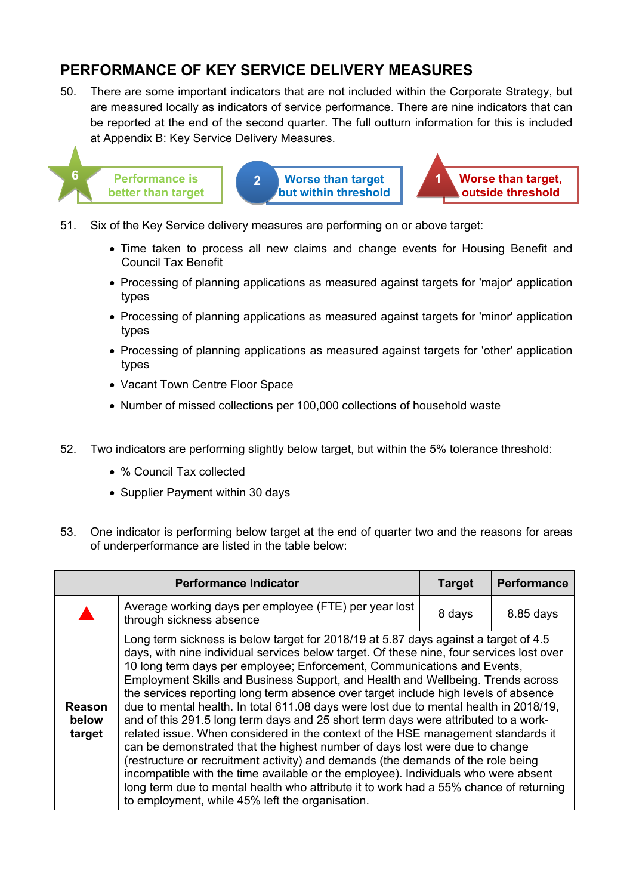## **PERFORMANCE OF KEY SERVICE DELIVERY MEASURES**

50. There are some important indicators that are not included within the Corporate Strategy, but are measured locally as indicators of service performance. There are nine indicators that can be reported at the end of the second quarter. The full outturn information for this is included at Appendix B: Key Service Delivery Measures.



**Performance is 2 better than target**

**Worse than target 1 but within threshold** **Worse than target, outside threshold**

- 51. Six of the Key Service delivery measures are performing on or above target:
	- Time taken to process all new claims and change events for Housing Benefit and Council Tax Benefit
	- Processing of planning applications as measured against targets for 'major' application types
	- Processing of planning applications as measured against targets for 'minor' application types
	- Processing of planning applications as measured against targets for 'other' application types
	- Vacant Town Centre Floor Space
	- Number of missed collections per 100,000 collections of household waste
- 52. Two indicators are performing slightly below target, but within the 5% tolerance threshold:
	- % Council Tax collected
	- Supplier Payment within 30 days
- 53. One indicator is performing below target at the end of quarter two and the reasons for areas of underperformance are listed in the table below:

|                                  | <b>Performance Indicator</b>                                                                                                                                                                                                                                                                                                                                                                                                                                                                                                                                                                                                                                                                                                                                                                                                                                                                                                                                                                                                                                                                                 | <b>Target</b> | <b>Performance</b> |
|----------------------------------|--------------------------------------------------------------------------------------------------------------------------------------------------------------------------------------------------------------------------------------------------------------------------------------------------------------------------------------------------------------------------------------------------------------------------------------------------------------------------------------------------------------------------------------------------------------------------------------------------------------------------------------------------------------------------------------------------------------------------------------------------------------------------------------------------------------------------------------------------------------------------------------------------------------------------------------------------------------------------------------------------------------------------------------------------------------------------------------------------------------|---------------|--------------------|
|                                  | Average working days per employee (FTE) per year lost<br>through sickness absence                                                                                                                                                                                                                                                                                                                                                                                                                                                                                                                                                                                                                                                                                                                                                                                                                                                                                                                                                                                                                            | 8 days        | 8.85 days          |
| <b>Reason</b><br>below<br>target | Long term sickness is below target for 2018/19 at 5.87 days against a target of 4.5<br>days, with nine individual services below target. Of these nine, four services lost over<br>10 long term days per employee; Enforcement, Communications and Events,<br>Employment Skills and Business Support, and Health and Wellbeing. Trends across<br>the services reporting long term absence over target include high levels of absence<br>due to mental health. In total 611.08 days were lost due to mental health in 2018/19,<br>and of this 291.5 long term days and 25 short term days were attributed to a work-<br>related issue. When considered in the context of the HSE management standards it<br>can be demonstrated that the highest number of days lost were due to change<br>(restructure or recruitment activity) and demands (the demands of the role being<br>incompatible with the time available or the employee). Individuals who were absent<br>long term due to mental health who attribute it to work had a 55% chance of returning<br>to employment, while 45% left the organisation. |               |                    |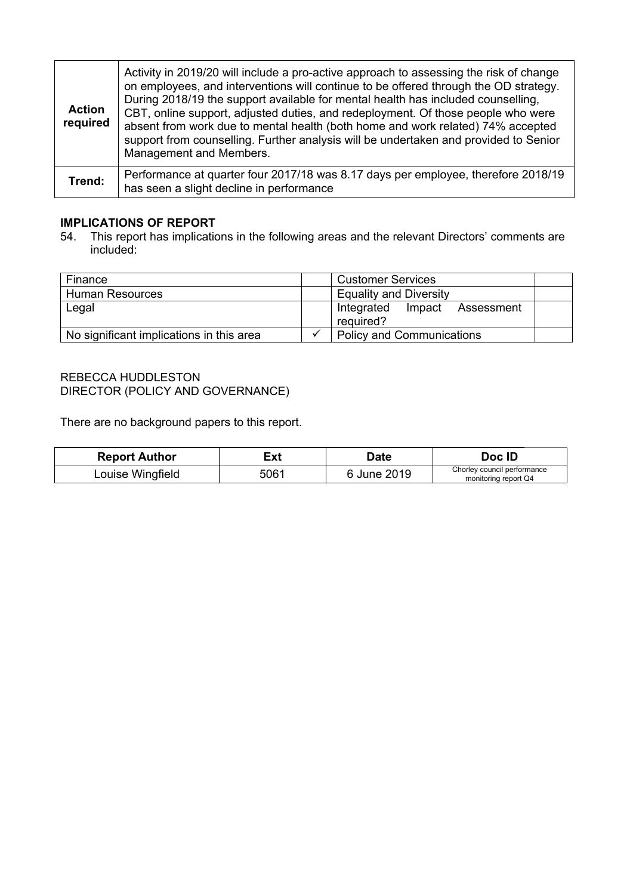| <b>Action</b><br>required | Activity in 2019/20 will include a pro-active approach to assessing the risk of change<br>on employees, and interventions will continue to be offered through the OD strategy.<br>During 2018/19 the support available for mental health has included counselling,<br>CBT, online support, adjusted duties, and redeployment. Of those people who were<br>absent from work due to mental health (both home and work related) 74% accepted<br>support from counselling. Further analysis will be undertaken and provided to Senior<br>Management and Members. |
|---------------------------|--------------------------------------------------------------------------------------------------------------------------------------------------------------------------------------------------------------------------------------------------------------------------------------------------------------------------------------------------------------------------------------------------------------------------------------------------------------------------------------------------------------------------------------------------------------|
| Trend:                    | Performance at quarter four 2017/18 was 8.17 days per employee, therefore 2018/19<br>has seen a slight decline in performance                                                                                                                                                                                                                                                                                                                                                                                                                                |

## **IMPLICATIONS OF REPORT**

54. This report has implications in the following areas and the relevant Directors' comments are included:

| Finance                                  |  | <b>Customer Services</b>                        |  |  |
|------------------------------------------|--|-------------------------------------------------|--|--|
| <b>Human Resources</b>                   |  | <b>Equality and Diversity</b>                   |  |  |
| Legal                                    |  | Integrated<br>Impact<br>Assessment<br>reguired? |  |  |
| No significant implications in this area |  | <b>Policy and Communications</b>                |  |  |

#### REBECCA HUDDLESTON DIRECTOR (POLICY AND GOVERNANCE)

There are no background papers to this report.

| <b>Report Author</b> | ≣xt  | Date        | Doc ID                                              |
|----------------------|------|-------------|-----------------------------------------------------|
| Louise Wingfield     | 5061 | 6 June 2019 | Chorley council performance<br>monitoring report Q4 |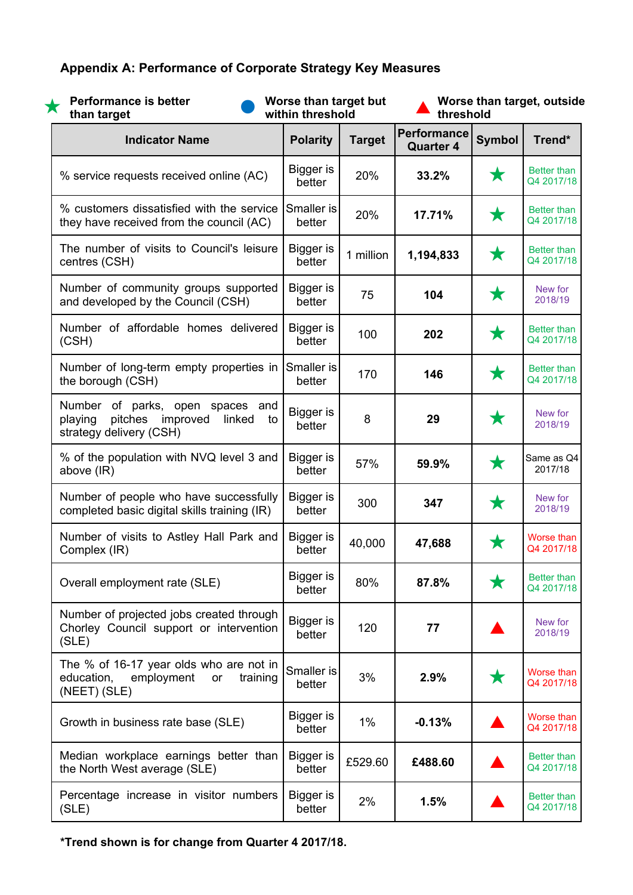## **Appendix A: Performance of Corporate Strategy Key Measures**

| <b>Performance is better</b><br>Х<br>than target                                                        | Worse than target but<br>within threshold |               | Worse than target, outside<br>threshold |               |                                  |
|---------------------------------------------------------------------------------------------------------|-------------------------------------------|---------------|-----------------------------------------|---------------|----------------------------------|
| <b>Indicator Name</b>                                                                                   | <b>Polarity</b>                           | <b>Target</b> | <b>Performance</b><br><b>Quarter 4</b>  | <b>Symbol</b> | Trend*                           |
| % service requests received online (AC)                                                                 | <b>Bigger</b> is<br>better                | 20%           | 33.2%                                   | $\bigstar$    | <b>Better than</b><br>Q4 2017/18 |
| % customers dissatisfied with the service<br>they have received from the council (AC)                   | Smaller is<br>better                      | 20%           | 17.71%                                  | ★             | <b>Better than</b><br>Q4 2017/18 |
| The number of visits to Council's leisure<br>centres (CSH)                                              | Bigger is<br>better                       | 1 million     | 1,194,833                               | $\bigstar$    | <b>Better than</b><br>Q4 2017/18 |
| Number of community groups supported<br>and developed by the Council (CSH)                              | Bigger is<br>better                       | 75            | 104                                     | ★             | New for<br>2018/19               |
| Number of affordable homes delivered<br>(CSH)                                                           | Bigger is<br>better                       | 100           | 202                                     | $\bigstar$    | <b>Better than</b><br>Q4 2017/18 |
| Number of long-term empty properties in<br>the borough (CSH)                                            | Smaller is<br>better                      | 170           | 146                                     | $\bigstar$    | <b>Better than</b><br>Q4 2017/18 |
| Number of parks, open spaces and<br>pitches<br>improved<br>linked<br>playing<br>strategy delivery (CSH) | <b>Bigger</b> is<br>to<br>better          | 8             | 29                                      | $\bigstar$    | New for<br>2018/19               |
| % of the population with NVQ level 3 and<br>above (IR)                                                  | <b>Bigger</b> is<br>better                | 57%           | 59.9%                                   | $\bigstar$    | Same as Q4<br>2017/18            |
| Number of people who have successfully<br>completed basic digital skills training (IR)                  | <b>Bigger</b> is<br>better                | 300           | 347                                     | ★             | New for<br>2018/19               |
| Number of visits to Astley Hall Park and<br>Complex (IR)                                                | Bigger is<br>better                       | 40,000        | 47,688                                  | $\bigstar$    | Worse than<br>Q4 2017/18         |
| Overall employment rate (SLE)                                                                           | Bigger is<br>better                       | 80%           | 87.8%                                   | ★             | <b>Better than</b><br>Q4 2017/18 |
| Number of projected jobs created through<br>Chorley Council support or intervention<br>(SLE)            | Bigger is<br>better                       | 120           | 77                                      |               | New for<br>2018/19               |
| The % of 16-17 year olds who are not in<br>employment<br>education,<br>training<br>or<br>(NEET) (SLE)   | Smaller is<br>better                      | 3%            | 2.9%                                    | ★             | Worse than<br>Q4 2017/18         |
| Growth in business rate base (SLE)                                                                      | Bigger is<br>better                       | $1\%$         | $-0.13%$                                |               | Worse than<br>Q4 2017/18         |
| Median workplace earnings better than<br>the North West average (SLE)                                   | Bigger is<br>better                       | £529.60       | £488.60                                 |               | Better than<br>Q4 2017/18        |
| Percentage increase in visitor numbers<br>(SLE)                                                         | Bigger is<br>better                       | 2%            | 1.5%                                    |               | Better than<br>Q4 2017/18        |

**\*Trend shown is for change from Quarter 4 2017/18.**